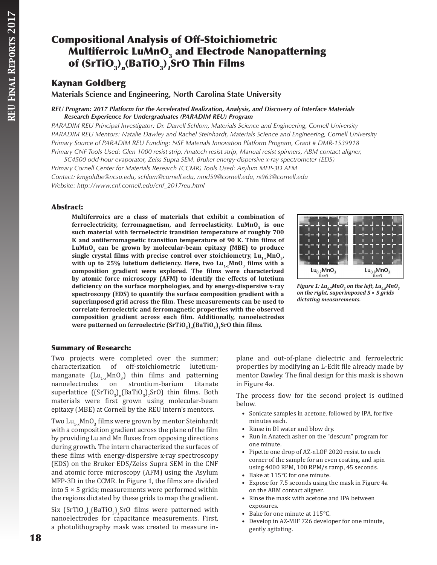# Compositional Analysis of Off-Stoichiometric Multiferroic LuMnO<sub>3</sub> and Electrode Nanopatterning of (SrTiO $_{_3})_{_n}$ (BaTiO $_{_3})_{_7}$ SrO Thin Films

# Kaynan Goldberg

## **Materials Science and Engineering, North Carolina State University**

#### *REU Program: 2017 Platform for the Accelerated Realization, Analysis, and Discovery of Interface Materials Research Experience for Undergraduates (PARADIM REU) Program*

*PARADIM REU Principal Investigator: Dr. Darrell Schlom, Materials Science and Engineering, Cornell University PARADIM REU Mentors: Natalie Dawley and Rachel Steinhardt, Materials Science and Engineering, Cornell University Primary Source of PARADIM REU Funding: NSF Materials Innovation Platform Program, Grant # DMR-1539918 Primary CNF Tools Used: Glen 1000 resist strip, Anatech resist strip, Manual resist spinners, ABM contact aligner,* 

*SC4500 odd-hour evaporator, Zeiss Supra SEM, Bruker energy-dispersive x-ray spectrometer (EDS) Primary Cornell Center for Materials Research (CCMR) Tools Used: Asylum MFP-3D AFM Contact: kmgoldbe@ncsu.edu, schlom@cornell.edu, nmd59@cornell.edu, rs963@cornell.edu Website: http://www.cnf.cornell.edu/cnf\_2017reu.html*

#### Abstract:

**Multiferroics are a class of materials that exhibit a combination of**  ferroelectricity, ferromagnetism, and ferroelasticity. LuMnO<sub>2</sub> is one **such material with ferroelectric transition temperature of roughly 700 K and antiferromagnetic transition temperature of 90 K. Thin films of**  LuMnO<sub>2</sub> can be grown by molecular-beam epitaxy (MBE) to produce single crystal films with precise control over stoichiometry,  $\text{Lu}_{1\cdot x} \text{MnO}_3$ , with up to 25% lutetium deficiency. Here, two  $\text{Lu}_{1\text{-}x}\text{MnO}_3$  films with a **composition gradient were explored. The films were characterized by atomic force microscopy (AFM) to identify the effects of lutetium deficiency on the surface morphologies, and by energy-dispersive x-ray spectroscopy (EDS) to quantify the surface composition gradient with a superimposed grid across the film. These measurements can be used to correlate ferroelectric and ferromagnetic properties with the observed composition gradient across each film. Additionally, nanoelectrodes**  were patterned on ferroelectric (SrTiO<sub>3</sub>)<sub>*n*</sub>(BaTiO<sub>3</sub>)<sub>*<sub>1</sub>*SrO thin films.</sub>



*Figure 1: Lu<sub>0</sub>* $MnO<sub>3</sub>$  *on the left, Lu<sub>0.8</sub>MnO*<sub>3</sub> *on the right, superimposed 5* × *5 grids dictating measurements.*

#### Summary of Research:

Two projects were completed over the summer; characterization of off-stoichiometric lutetiummanganate  $\left(\text{Lu}_{1-x} \text{MnO}_3\right)$  thin films and patterning nanoelectrodes on strontium-barium titanate superlattice  $((SrTiO<sub>3</sub>)<sub>n</sub>(BaTiO<sub>3</sub>)<sub>1</sub>SrO)$  thin films. Both materials were first grown using molecular-beam epitaxy (MBE) at Cornell by the REU intern's mentors.

Two Lu<sub>1-x</sub>MnO<sub>3</sub> films were grown by mentor Steinhardt with a composition gradient across the plane of the film by providing Lu and Mn fluxes from opposing directions during growth. The intern characterized the surfaces of these films with energy-dispersive x-ray spectroscopy (EDS) on the Bruker EDS/Zeiss Supra SEM in the CNF and atomic force microscopy (AFM) using the Asylum MFP-3D in the CCMR. In Figure 1, the films are divided into 5 × 5 grids; measurements were performed within the regions dictated by these grids to map the gradient.

Six  $(SrTiO_3)$ <sub>n</sub> $(BaTiO_3)$ <sub>1</sub>SrO films were patterned with nanoelectrodes for capacitance measurements. First, a photolithography mask was created to measure inplane and out-of-plane dielectric and ferroelectric properties by modifying an L-Edit file already made by mentor Dawley. The final design for this mask is shown in Figure 4a.

The process flow for the second project is outlined below.

- Sonicate samples in acetone, followed by IPA, for five minutes each.
- Rinse in DI water and blow dry.
- Run in Anatech asher on the "descum" program for one minute.
- Pipette one drop of AZ-nLOF 2020 resist to each corner of the sample for an even coating, and spin using 4000 RPM, 100 RPM/s ramp, 45 seconds.
- Bake at 115°C for one minute.
- Expose for 7.5 seconds using the mask in Figure 4a on the ABM contact aligner.
- Rinse the mask with acetone and IPA between exposures.
- Bake for one minute at 115°C.
- Develop in AZ-MIF 726 developer for one minute, gently agitating.